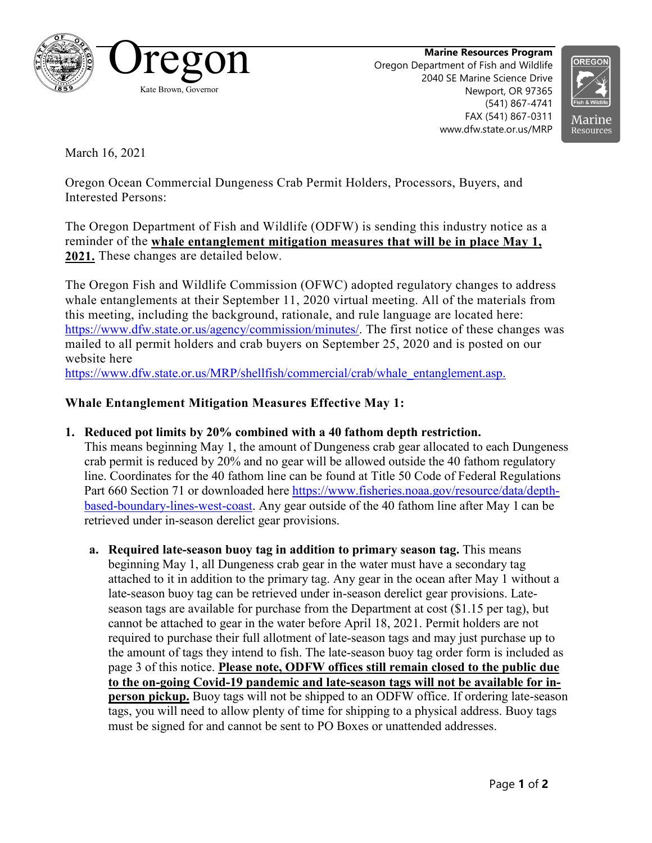

**Marine Resources Program** Oregon Department of Fish and Wildlife 2040 SE Marine Science Drive Newport, OR 97365 (541) 867-4741 FAX (541) 867-0311 www.dfw.state.or.us/MRP



March 16, 2021

Oregon Ocean Commercial Dungeness Crab Permit Holders, Processors, Buyers, and Interested Persons:

The Oregon Department of Fish and Wildlife (ODFW) is sending this industry notice as a reminder of the **whale entanglement mitigation measures that will be in place May 1, 2021.** These changes are detailed below.

The Oregon Fish and Wildlife Commission (OFWC) adopted regulatory changes to address whale entanglements at their September 11, 2020 virtual meeting. All of the materials from this meeting, including the background, rationale, and rule language are located here: https://www.dfw.state.or.us/agency/commission/minutes/. The first notice of these changes was mailed to all permit holders and crab buyers on September 25, 2020 and is posted on our website here

[https://www.dfw.state.or.us/MRP/shellfish/commercial/crab/whale\\_entanglement.asp.](https://www.dfw.state.or.us/MRP/shellfish/commercial/crab/whale_entanglement.asp)

## **Whale Entanglement Mitigation Measures Effective May 1:**

**1. Reduced pot limits by 20% combined with a 40 fathom depth restriction.** 

This means beginning May 1, the amount of Dungeness crab gear allocated to each Dungeness crab permit is reduced by 20% and no gear will be allowed outside the 40 fathom regulatory line. Coordinates for the 40 fathom line can be found at Title 50 Code of Federal Regulations Part 660 Section 71 or downloaded here [https://www.fisheries.noaa.gov/resource/data/depth](https://www.fisheries.noaa.gov/resource/data/depth-based-boundary-lines-west-coast)[based-boundary-lines-west-coast.](https://www.fisheries.noaa.gov/resource/data/depth-based-boundary-lines-west-coast) Any gear outside of the 40 fathom line after May 1 can be retrieved under in-season derelict gear provisions.

**a. Required late-season buoy tag in addition to primary season tag.** This means beginning May 1, all Dungeness crab gear in the water must have a secondary tag attached to it in addition to the primary tag. Any gear in the ocean after May 1 without a late-season buoy tag can be retrieved under in-season derelict gear provisions. Lateseason tags are available for purchase from the Department at cost (\$1.15 per tag), but cannot be attached to gear in the water before April 18, 2021. Permit holders are not required to purchase their full allotment of late-season tags and may just purchase up to the amount of tags they intend to fish. The late-season buoy tag order form is included as page 3 of this notice. **Please note, ODFW offices still remain closed to the public due to the on-going Covid-19 pandemic and late-season tags will not be available for inperson pickup.** Buoy tags will not be shipped to an ODFW office. If ordering late-season tags, you will need to allow plenty of time for shipping to a physical address. Buoy tags must be signed for and cannot be sent to PO Boxes or unattended addresses.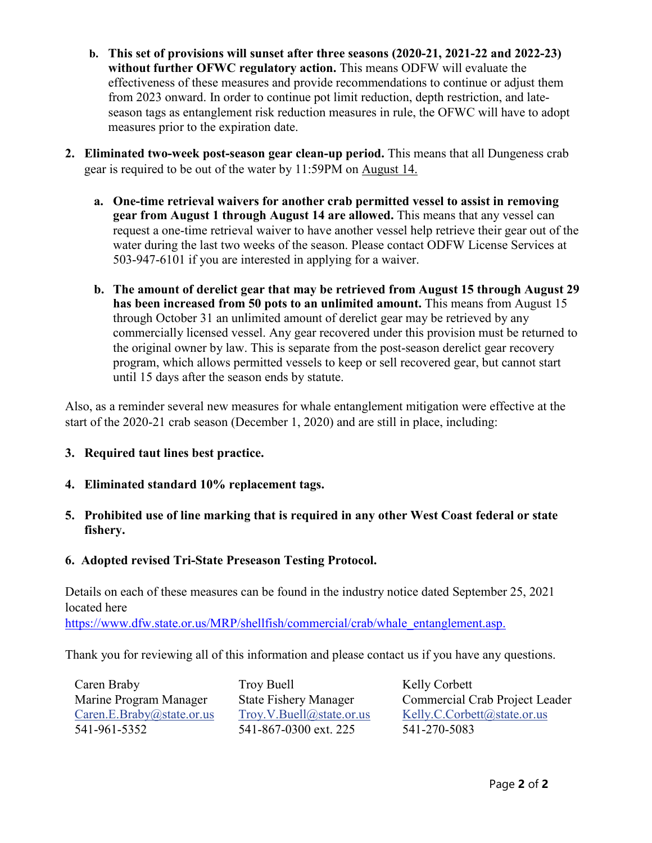- **b. This set of provisions will sunset after three seasons (2020-21, 2021-22 and 2022-23) without further OFWC regulatory action.** This means ODFW will evaluate the effectiveness of these measures and provide recommendations to continue or adjust them from 2023 onward. In order to continue pot limit reduction, depth restriction, and lateseason tags as entanglement risk reduction measures in rule, the OFWC will have to adopt measures prior to the expiration date.
- **2. Eliminated two-week post-season gear clean-up period.** This means that all Dungeness crab gear is required to be out of the water by 11:59PM on August 14.
	- **a. One-time retrieval waivers for another crab permitted vessel to assist in removing gear from August 1 through August 14 are allowed.** This means that any vessel can request a one-time retrieval waiver to have another vessel help retrieve their gear out of the water during the last two weeks of the season. Please contact ODFW License Services at 503-947-6101 if you are interested in applying for a waiver.
	- **b. The amount of derelict gear that may be retrieved from August 15 through August 29 has been increased from 50 pots to an unlimited amount.** This means from August 15 through October 31 an unlimited amount of derelict gear may be retrieved by any commercially licensed vessel. Any gear recovered under this provision must be returned to the original owner by law. This is separate from the post-season derelict gear recovery program, which allows permitted vessels to keep or sell recovered gear, but cannot start until 15 days after the season ends by statute.

Also, as a reminder several new measures for whale entanglement mitigation were effective at the start of the 2020-21 crab season (December 1, 2020) and are still in place, including:

## **3. Required taut lines best practice.**

- **4. Eliminated standard 10% replacement tags.**
- **5. Prohibited use of line marking that is required in any other West Coast federal or state fishery.**
- **6. Adopted revised Tri-State Preseason Testing Protocol.**

Details on each of these measures can be found in the industry notice dated September 25, 2021 located here

[https://www.dfw.state.or.us/MRP/shellfish/commercial/crab/whale\\_entanglement.asp.](https://www.dfw.state.or.us/MRP/shellfish/commercial/crab/whale_entanglement.asp)

Thank you for reviewing all of this information and please contact us if you have any questions.

Caren Braby Marine Program Manager [Caren.E.Braby@state.or.us](mailto:Caren.E.Braby@state.or.us) 541-961-5352

Troy Buell State Fishery Manager [Troy.V.Buell@state.or.us](mailto:Troy.V.Buell@state.or.us) 541-867-0300 ext. 225

Kelly Corbett Commercial Crab Project Leader [Kelly.C.Corbett@state.or.us](mailto:Kelly.C.Corbett@state.or.us) 541-270-5083